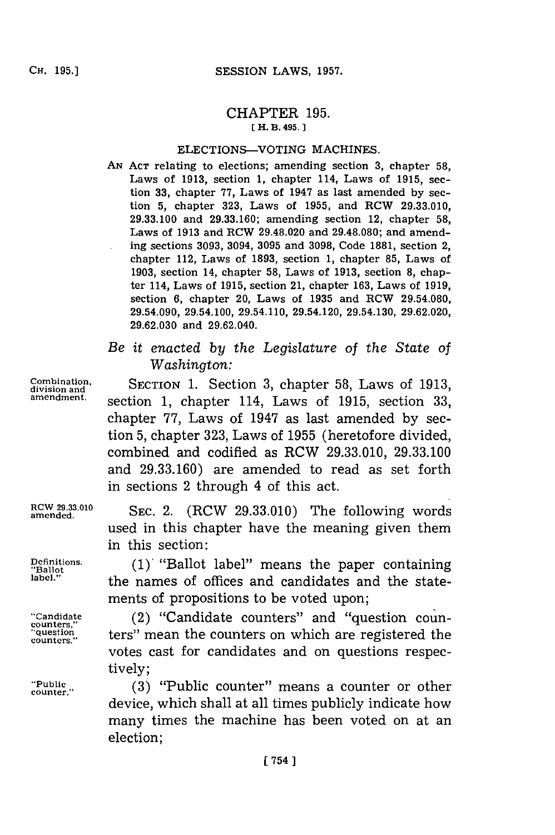# CHAPTER **195. [ H. B. 495.**

### ELECTIONS-VOTING MACHINES.

- **AN ACT** relating to elections; amending section **3,** chapter **58,** Laws of **1913,** section **1,** chapter 114, Laws of **1915,** section **33,** chapter **77,** Laws of 1947 as last amended **by** section **5,** chapter **323,** Laws of **1955,** and RCW **29.33.010, 29.33.100** and **29.33.160;** amending section 12, chapter **58,** Laws of **1913** and RCW 29.48.020 and **29.48.080;** and amending sections **3093,** 3094, **3095** and **3098,** Code **1881,** section 2, chapter 112, Laws of **1893,** section **1,** chapter **85,** Laws of **1903,** section 14, chapter **58,** Laws of **1913,** section **8,** chapter 114, Laws of **1915,** section 21, chapter **163,** Laws of **1919,** section **6,** chapter 20, Laws of **1935** and RCW **29.54.080,** 29.54.090, 29.54.100, 29.54.110, 29.54.120, 29.54.130, **29.62.020, 29.62.030** and 29.62.040.
- *Be it enacted by the Legislature of the State of Washington:*

**Coiationan** SECTION **1.** Section **3,** chapter **58,** Laws of **1913, amendment.** section **1,** chapter 114, Laws of **1915,** section **33,** chapter **77,** Laws of 1947 as last amended **by** section **5,** chapter **323,** Laws of **1955** (heretofore divided, combined and codified as RCW **29.33.010, 29.33.100** and **29.33.160)** are amended to read as set forth in sections 2 through 4 of this act.

amende..1 **SEC.** 2. (RCW **29.33.010)** The following words used in this chapter have the meaning given them in this section:

**Definitions. (1)'** "Ballot label" means the paper containing **"Ballot** the names of offices and candidates and the statements of propositions to be voted upon;

**"Candidate** (2) "Candidate counters" and "question counters" mean the counters on which are registered the votes cast for candidates and on questions respectively;

**"Public, (3)** "Public counter" means a counter or other device, which shall at all times publicly indicate how many times the machine has been voted on at an election;

**counters,'**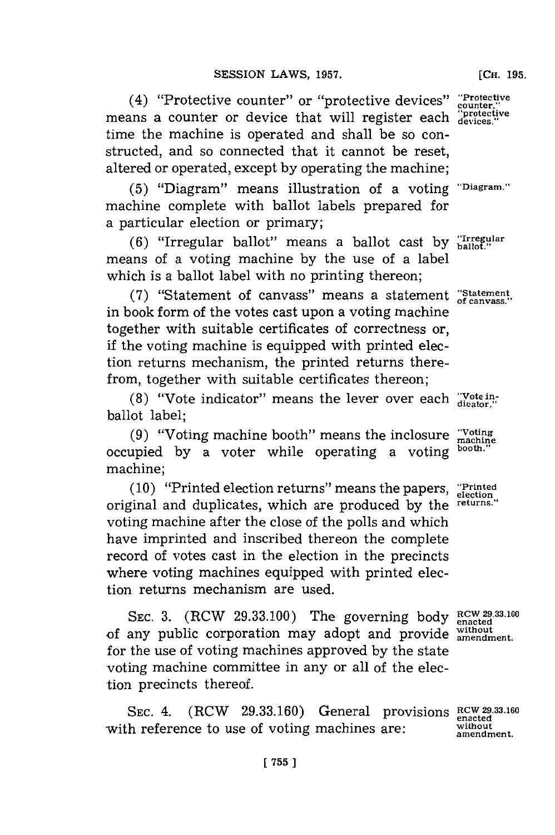(4) "Protective counter" or "protective devices" **"Protective** means a counter or device that will register each "protection time the machine is operated and shall be so constructed, and so connected that it cannot be reset, altered or operated, except **by** operating the machine;

**(5)** "Diagram" means illustration of a voting **'Diagramn."** machine complete with ballot labels prepared for a particular election or primary;

**(6)** "Irregular ballot" means a ballot cast **by** ballot." means of a voting machine **by** the use of a label which is a ballot label with no printing thereon;

**(7)** "Statement of canvass" means a statement **"Statement** in book form of the votes cast upon a voting machine together with suitable certificates of correctness or, if the voting machine is equipped with printed election returns mechanism, the printed returns therefrom, together with suitable certificates thereon;

**(8)** "Vote indicator" means the lever over each **"Vote in- dicator."** ballot label;

**(9)** "Voting machine booth" means the inclosure **"Voting machine** occupied by a voter while operating a voting machine;

**(10)** "Printed election returns" means the papers, **"Printed election** original and duplicates, which are produced **by** the **returns.",** voting machine after the close of the polls and which have imprinted and inscribed thereon the complete record of votes cast in the election in the precincts where voting machines equipped with printed election returns mechanism are used.

SEC. 3. (RCW 29.33.100) The governing body  $RCW$  29.33.100 of any public corporation may adopt and provide **amendment**. for the use of voting machines approved **by** the state voting machine committee in any or all of the election precincts thereof.

SEC. 4. (RCW 29.33.160) General provisions **RCW** 29.33.160 with reference to use of voting machines are: without amendment.

**[CH. 195.**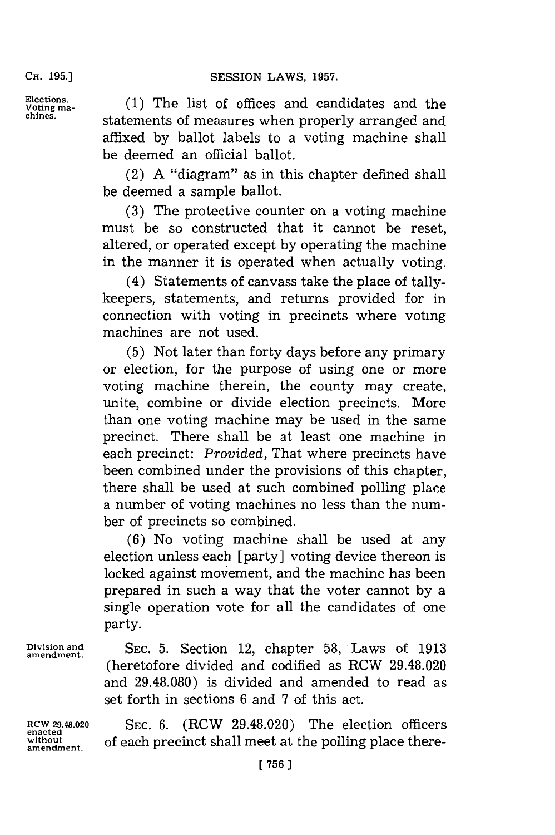### CH. **95.)SESSION** LAWS, **1957.**

**CH. 195.]**

Elections. (1) The list of offices and candidates and the **chines.** statements of measures when properly arranged and affixed **by** ballot labels to a voting machine shall be deemed an official ballot.

> (2) **A** "diagram" as in this chapter defined shall be deemed a sample ballot.

> **(3)** The protective counter on a voting machine must be so constructed that it cannot be reset, altered, or operated except **by** operating the machine in the manner it is operated when actually voting.

> (4) Statements of canvass take the place of tallykeepers, statements, and returns provided for in connection with voting in precincts where voting machines are not used.

> **(5)** Not later than forty days before any primary or election, for the purpose of using one or more voting machine therein, the county may create, unite, combine or divide election precincts. More than one voting machine may be used in the same precinct. There shall be at least one machine in each precinct: *Provided,* That where precincts have been combined under the provisions of this chapter, there shall be used at such combined polling place a number of voting machines no less than the number of precincts so combined.

> **(6)** No voting machine shall be used at any election unless each [party] voting device thereon is locked against movement, and the machine has been prepared in such a way that the voter cannot **by** a single operation vote for all the candidates of one party.

**Division and SEC. 5.** Section 12, chapter **58,** Laws of **1913** (heretofore divided and codified as RCW 29.48.020 and **29.48.080)** is divided and amended to read as set forth in sections **6** and **7** of this act.

**amendment.**

**amendment.**

**RCW 29.48.020 SEC. 6.** (RCW 29.48.020) The election officers without of each precinct shall meet at the polling place there-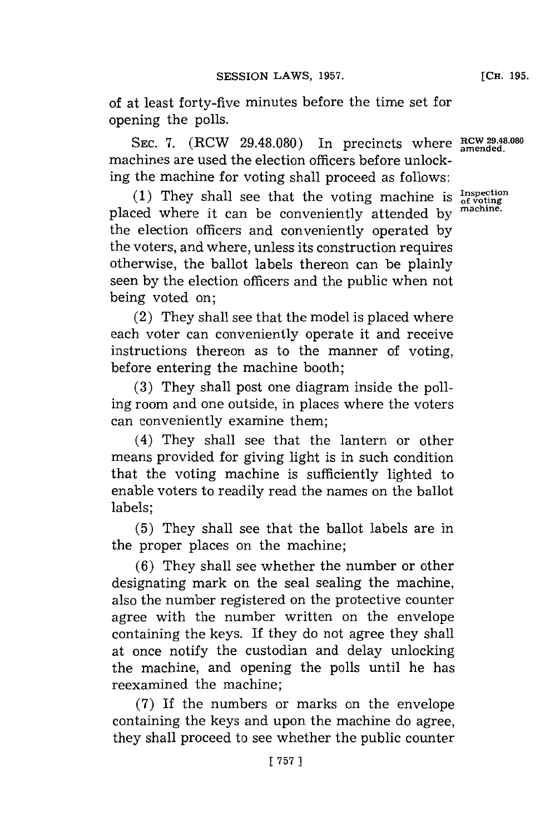of at least forty-five minutes before the time set for opening the polls.

SEC. 7.  $(RCW 29.48.080)$  In precincts where **RCW** 29.48.080 machines are used the election officers before unlocking the machine for voting shall proceed as follows:

(1) They shall see that the voting machine is  $_{of\, voting}^{Inspection}$ placed where it can be conveniently attended **by machine.** the election officers and conveniently operated **by** the voters, and where, unless its construction requires otherwise, the ballot labels thereon can be plainly seen **by** the election officers and the public when not being voted on;

(2) They shall see that the model is placed where each voter can conveniently operate it and receive instructions thereon as to the manner of voting, before entering the machine booth:

**(3)** They shall post one diagram inside the polling room and one outside, in places where the voters can conveniently examine them;

(4) They shall see that the lantern or other means provided for giving light is in such condition that the voting machine is sufficiently lighted to enable voters to readily read the names on the ballot labels;

**(5)** They shall see that the ballot labels are in the proper places on the machine;

**(6)** They shall see whether the number or other designating mark on the seal sealing the machine, also the number registered on the protective counter agree with the number written on the envelope containing the keys. If they do not agree they shall at once notify the custodian and delay unlocking the machine, and opening the polls until he has reexamined the machine;

**(7)** If the numbers or marks on the envelope containing the keys and upon the machine do agree, they shall proceed to see whether the public counter

**[ 757 1**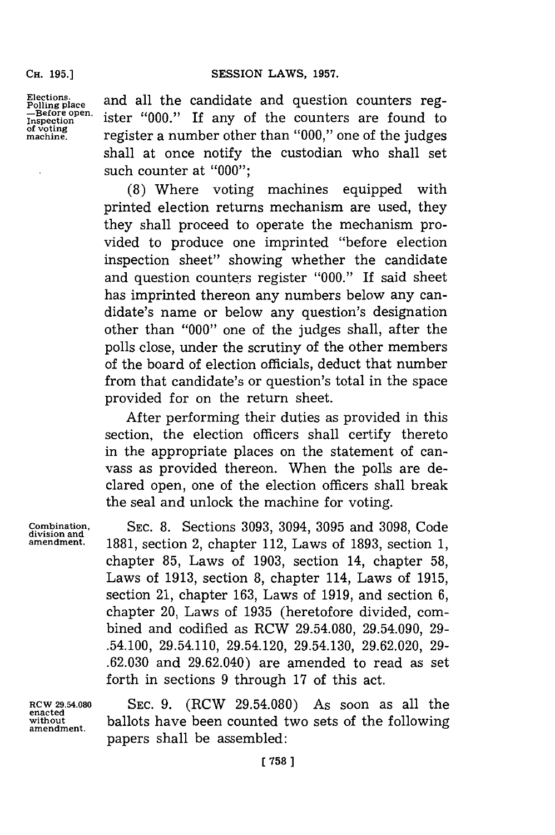#### SESSION LAWS, 1957.

**CH. 195.]**

**Elections. Polling place Inspection of voting machine.**

and all the candidate and question counters register **"000."** If any of the counters are found to register a number other than **"000,"** one of the judges shall at once notify the custodian who shall set such counter at **"000";**

**(8)** Where voting machines equipped with printed election returns mechanism are used, they they shall proceed to operate the mechanism provided to produce one imprinted "before election inspection sheet" showing whether the candidate and question counters register **"000."** If said sheet has imprinted thereon any numbers below any candidate's name or below any question's designation other than **"000"** one of the judges shall, after the polls close, under the scrutiny of the other members of the board of election officials, deduct that number from that candidate's or question's total in the space provided for on the return sheet.

After performing their duties as provided in this section, the election officers shall certify thereto in the appropriate places on the statement of canvass as provided thereon. When the polls are declared open, one of the election officers shall break the seal and unlock the machine for voting.

**division and**

**Combination, SEC. 8.** Sections **3093,** 3094, **3095** and **3098,** Code **amendment. 1881,** section 2, chapter 112, Laws of **1893,** section **1,** chapter **85,** Laws of **1903,** section 14, chapter **58,** Laws of **1913,** section **8,** chapter 114, Laws of **1915,** section 21, chapter **163,** Laws of **1919,** and section **6,** chapter 20, Laws of **1935** (heretofore divided, combined and codified as RCW **29.54.080,** 29.54.090, **29-** .54.100, 29.54.110, 29.54.120, 29.54.130, **29.62.020, 29- .62.030** and 29.62.040) are amended to read as set forth in sections **9** through **17** of this act.

**enacted**

**RCW 29.54.080 SEC. 9.** (RCW **29.54.080)** As soon as all the **without** ballots have been counted two sets of the following **amendment.** papers shall be assembled: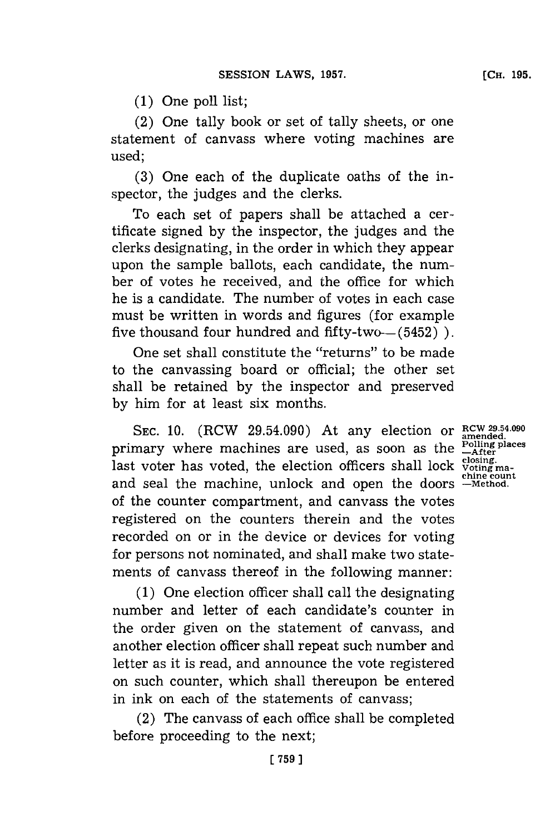**(1)** One poll list;

(2) One tally book or set of tally sheets, or one statement of canvass where voting machines are used;

**(3)** One each of the duplicate oaths of the inspector, the judges and the clerks.

To each set of papers shall be attached a certificate signed **by** the inspector, the judges and the clerks designating, in the order in which they appear upon the sample ballots, each candidate, the number of votes he received, and the office for which he is a candidate. The number of votes in each case must be written in words and figures (for example five thousand four hundred and fifty-two $-$  (5452)  $)$ .

One set shall constitute the "returns" to be made to the canvassing board or official; the other set shall be retained **by** the inspector and preserved **by** him for at least six months.

**SEC. 10.** (RCW 29.54.090) At any election or **RCW 29.54.090** primary where machines are used, as soon as the **Polling places** primary where machines are used, as soon as the  $\frac{L_{\text{After}}}{\text{closing}}$  last voter has voted, the election officers shall lock  $\frac{\text{closing}}{\text{cusing}}$ and seal the machine, unlock and open the doors **-Method.** of the counter compartment, and canvass the votes registered on the counters therein and the votes recorded on or in the device or devices for voting for persons not nominated, and shall make two statements of canvass thereof in the following manner:

**(1)** One election officer shall call the designating number and letter of each candidate's counter in the order given on the statement of canvass, and another election officer shall repeat such number and letter as it is read, and announce the vote registered on such counter, which shall thereupon be entered in ink on each of the statements of canvass;

(2) The canvass of each office shall be completed before proceeding to the next;

**amended. chine count**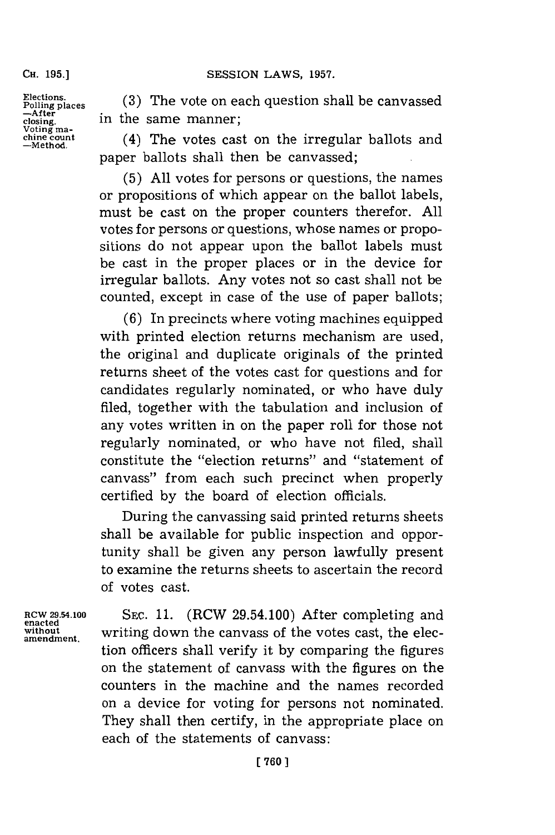## SESSION LAWS, 1957.

**CH. 195.]**

**Polling places**<br>--After<br>closing. nature in the same manner;<br>
voting ma<sub>chine</sub> count (4) The votes cas<br>
dine count (4)

Elections. (3) The vote on each question shall be canvi

(4) The votes cast on the irregular ballots and paper ballots shall then be canvassed;

**(5) All** votes **for** persons or questions, the names or propositions of which appear on the ballot labels, must be cast on the proper counters therefor. **All** votes for persons or questions, whose names or propositions do not appear upon the ballot labels must be cast in the proper places or in the device for irregular ballots. Any votes not so cast shall not be counted, except in case of the use of paper ballots;

**(6)** In precincts where voting machines equipped with printed election returns mechanism are used, the original and duplicate originals of the printed returns sheet of the votes cast for questions and **for** candidates regularly nominated, or who have duly filed, together with the tabulation and inclusion of any votes written in on the paper roll for those not regularly nominated, or who have not filed, shall constitute the "election returns" and "statement of canvass" from each such precinct when properly certified **by** the board of election officials.

During the canvassing said printed returns sheets shall be available for public inspection and opportunity shall be given any person lawfully present to examine the returns sheets to ascertain the record of votes cast.

**enacted**

RCW 29.54.100 **SEC. 11.** (RCW 29.54.100) After completing and **without** writing down the canvass of the votes cast, the election officers shall verify it **by** comparing the figures on the statement of canvass with the figures on the counters in the machine and the names recorded on a device for voting for persons not nominated. They shall then certify, in the appropriate place on each of the statements of canvass: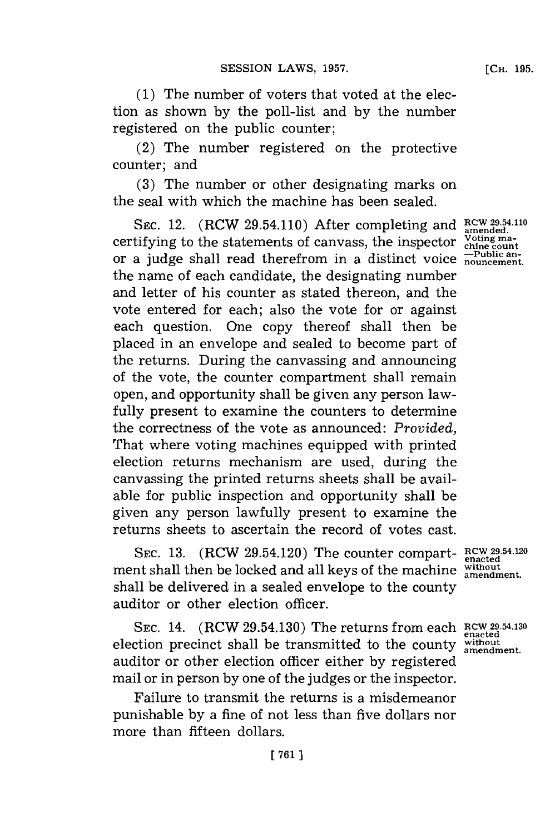**[CH. 195.**

**(1)** The number of voters that voted at the election as shown **by** the poll-list and **by** the number registered on the public counter;

(2) The number registered on the protective counter; and

**(3)** The number or other designating marks on the seal with which the machine has been sealed.

**SEC.** 12. (RCW 29.54.110) After completing and **RCW29 .54.110** certifying to the statements of canvass, the inspector  $\frac{\text{Voting maximum}}{\text{children}}$ or a judge shall read therefrom in a distinct voice **nouncement.** the name of each candidate, the designating number and letter of his counter as stated thereon, and the vote entered for each; also the vote for or against each question. One copy thereof shall then be placed in an envelope and sealed to become part of the returns. During the canvassing and announcing of the vote, the counter compartment shall remain open, and opportunity shall be given any person lawfully present to examine the counters to determine the correctness of the vote as announced: *Provided,* That where voting machines equipped with printed election returns mechanism are used, during the canvassing the printed returns sheets shall be available for public inspection and opportunity shall be given any person lawfully present to examine the returns sheets to ascertain the record of votes cast.

**SEC. 13.** (RCW 29.54.120) The counter compart- **RCW 29.54.120 enacted** ment shall then be locked and all keys of the machine without shall be delivered in a sealed envelope to the county auditor or other election officer.

**SEC.** 14. (RCW 29.54.130) The returns from each **RCW 2954.130** election precinct shall be transmitted to the county without amendment. auditor or other election officer either **by** registered mail or in person **by** one of the judges or the inspector.

Failure to transmit the returns is a misdemeanor punishable **by** a fine of not less than five dollars nor more than fifteen dollars.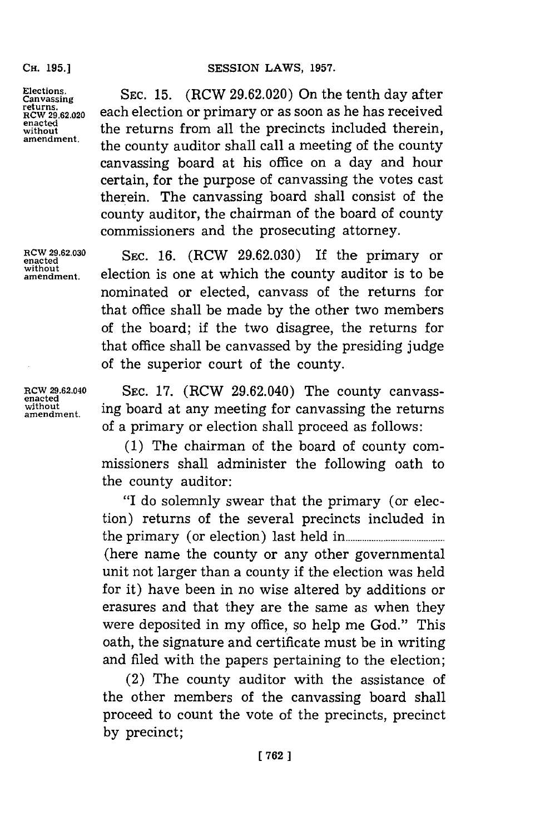# **SESSION LAWS, 1957.**

CH. **195.]**

Elections. **Products** SEC. 15. (RCW 29.62.020) On the tenth day after Canvassing<br>returns. **DECT 10.** (INC W 25.02.020) On the tenth day difficult as soon as he has received **EXECULTER THE RETURNAL EXECUTS**<br>
without the returns from all the precincts included therein,<br>
amendment, the county auditor shall call a meeting of the county canvassing board at his office on a day and hour certain, for the purpose of canvassing the votes cast therein. The canvassing board shall consist of the county auditor, the chairman of the board of county commissioners and the prosecuting attorney.

**encted6203 SEC. 16.** (RCW **29.62.030)** If the primary or **amendment,** election is one at which the county auditor is to be nominated or elected, canvass of the returns for that office shall be made **by** the other two members of the board; if the two disagree, the returns for that office shall be canvassed **by** the presiding judge of the superior court of the county.

**enacted**

**RCW 29.62.040** SEc. **17.** (RCW 29.62.040) The county canvasswithout ing board at any meeting for canvassing the returns of a primary or election shall proceed as follows:

> **(1)** The chairman of the board of county commissioners shall administer the following oath to the county auditor:

> "I do solemnly swear that the primary (or election) returns of the several precincts included in the primary (or election) last held in **.......................** (here name the county or any other governmental unit not larger than a county if the election was held for it) have been in no wise altered **by** additions or erasures and that they are the same as when they were deposited in my office, so help me God." This oath, the signature and certificate must be in writing and filed with the papers pertaining to the election;

> (2) The county auditor with the assistance of the other members of the canvassing board shall proceed to count the vote of the precincts, precinct **by** precinct;